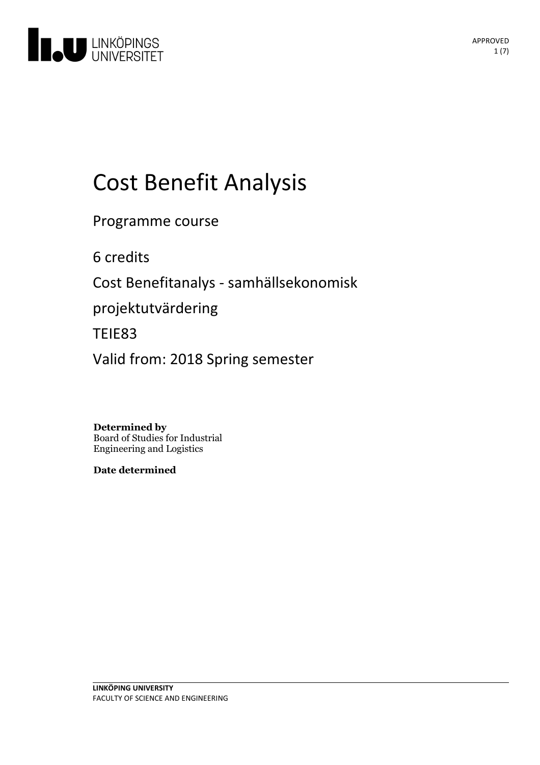

# Cost Benefit Analysis

Programme course

6 credits

Cost Benefitanalys - samhällsekonomisk

projektutvärdering

TEIE83

Valid from: 2018 Spring semester

**Determined by** Board of Studies for Industrial Engineering and Logistics

**Date determined**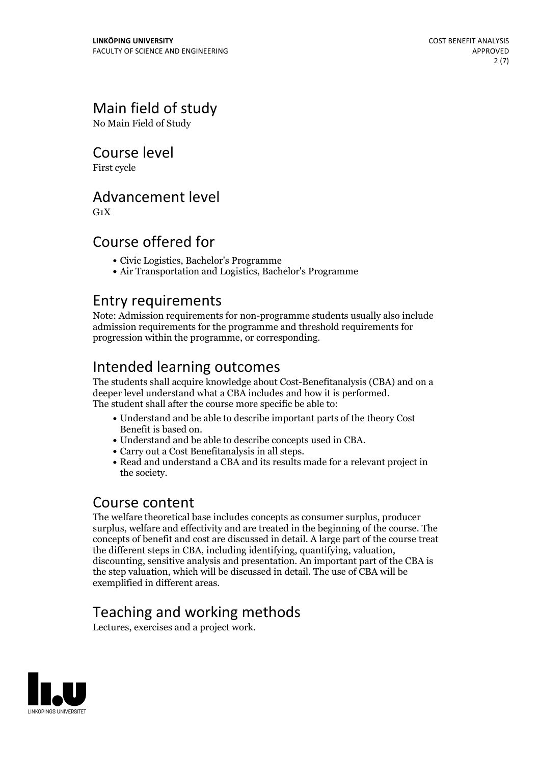## Main field of study

No Main Field of Study

### Course level

First cycle

### Advancement level

 $G_1X$ 

## Course offered for

- Civic Logistics, Bachelor's Programme
- Air Transportation and Logistics, Bachelor's Programme

### Entry requirements

Note: Admission requirements for non-programme students usually also include admission requirements for the programme and threshold requirements for progression within the programme, or corresponding.

## Intended learning outcomes

The students shall acquire knowledge about Cost-Benefitanalysis (CBA) and on a deeper level understand what <sup>a</sup> CBA includes and how it is performed. The student shall after the course more specific be able to:

- Understand and be able to describe important parts of the theory Cost
- 
- 
- Benefit is based on. Understand and be able to describe concepts used in CBA. Carry out <sup>a</sup> Cost Benefitanalysis in all steps. Read and understand <sup>a</sup> CBA and its results made for <sup>a</sup> relevant project in the society.

### Course content

The welfare theoretical base includes concepts as consumer surplus, producer surplus, welfare and effectivity and are treated in the beginning of the course. The concepts of benefit and cost are discussed in detail. A large part of the course treat the different steps in CBA, including identifying, quantifying, valuation, discounting, sensitive analysis and presentation. An important part of the CBA is the step valuation, which will be discussed in detail. The use of CBA will be exemplified in different areas.

## Teaching and working methods

Lectures, exercises and a project work.

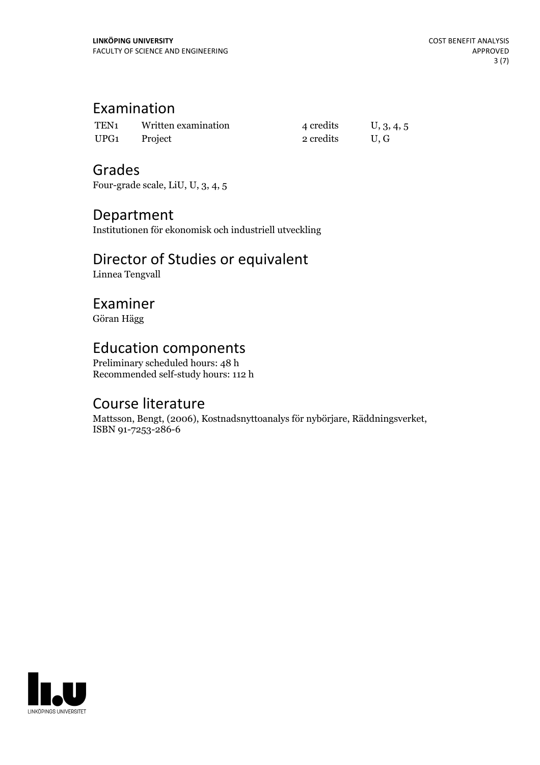## Examination

| TEN <sub>1</sub> | Written examination | 4 credits | U, 3, 4, 5 |
|------------------|---------------------|-----------|------------|
| UPG <sub>1</sub> | Project             | 2 credits | U.G        |

### Grades

Four-grade scale, LiU, U, 3, 4, 5

### Department

Institutionen för ekonomisk och industriell utveckling

## Director of Studies or equivalent

Linnea Tengvall

## Examiner

Göran Hägg

## Education components

Preliminary scheduled hours: 48 h Recommended self-study hours: 112 h

## Course literature

Mattsson, Bengt, (2006), Kostnadsnyttoanalys för nybörjare, Räddningsverket, ISBN 91-7253-286-6

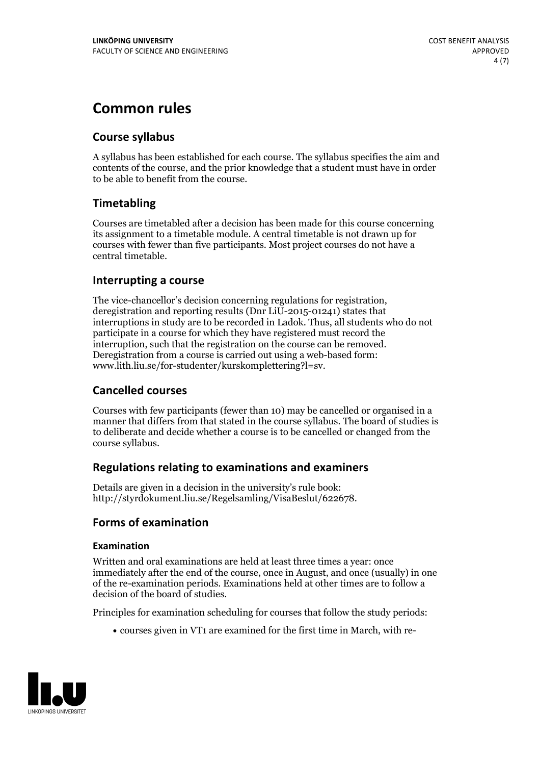## **Common rules**

#### **Course syllabus**

A syllabus has been established for each course. The syllabus specifies the aim and contents of the course, and the prior knowledge that a student must have in order to be able to benefit from the course.

#### **Timetabling**

Courses are timetabled after a decision has been made for this course concerning its assignment to a timetable module. A central timetable is not drawn up for courses with fewer than five participants. Most project courses do not have a central timetable.

#### **Interrupting a course**

The vice-chancellor's decision concerning regulations for registration, deregistration and reporting results (Dnr LiU-2015-01241) states that interruptions in study are to be recorded in Ladok. Thus, all students who do not participate in a course for which they have registered must record the interruption, such that the registration on the course can be removed. Deregistration from <sup>a</sup> course is carried outusing <sup>a</sup> web-based form: www.lith.liu.se/for-studenter/kurskomplettering?l=sv.

#### **Cancelled courses**

Courses with few participants (fewer than 10) may be cancelled or organised in a manner that differs from that stated in the course syllabus. The board of studies is to deliberate and decide whether a course is to be cancelled orchanged from the course syllabus.

#### **Regulations relatingto examinations and examiners**

Details are given in a decision in the university's rule book: http://styrdokument.liu.se/Regelsamling/VisaBeslut/622678.

#### **Forms of examination**

#### **Examination**

Written and oral examinations are held at least three times a year: once immediately after the end of the course, once in August, and once (usually) in one of the re-examination periods. Examinations held at other times are to follow a decision of the board of studies.

Principles for examination scheduling for courses that follow the study periods:

courses given in VT1 are examined for the first time in March, with re-

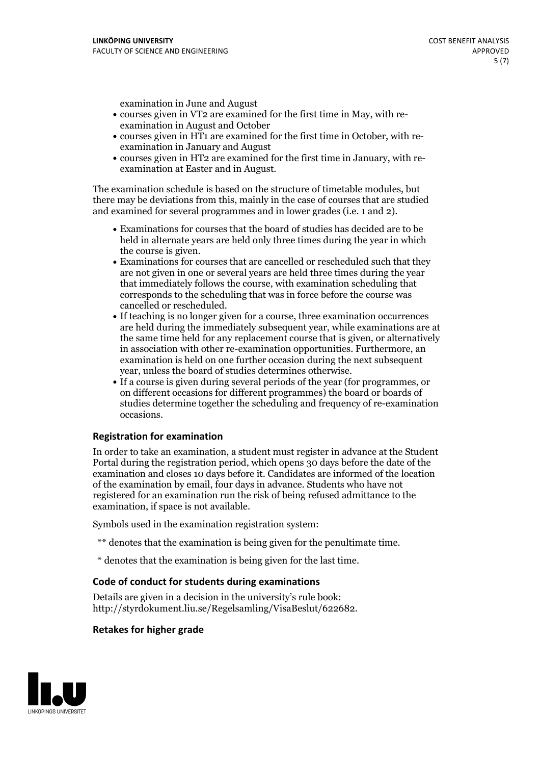examination in June and August

- courses given in VT2 are examined for the first time in May, with re-examination in August and October
- courses given in HT1 are examined for the first time in October, with re-examination in January and August
- courses given in HT2 are examined for the first time in January, with re-examination at Easter and in August.

The examination schedule is based on the structure of timetable modules, but there may be deviations from this, mainly in the case of courses that are studied and examined for several programmes and in lower grades (i.e. 1 and 2).

- Examinations for courses that the board of studies has decided are to be held in alternate years are held only three times during the year in which
- the course is given.<br>• Examinations for courses that are cancelled or rescheduled such that they are not given in one or several years are held three times during the year that immediately follows the course, with examination scheduling that corresponds to the scheduling that was in force before the course was cancelled or rescheduled.<br>• If teaching is no longer given for a course, three examination occurrences
- are held during the immediately subsequent year, while examinations are at the same time held for any replacement course that is given, or alternatively in association with other re-examination opportunities. Furthermore, an examination is held on one further occasion during the next subsequent year, unless the board of studies determines otherwise.<br>• If a course is given during several periods of the year (for programmes, or
- on different occasions for different programmes) the board orboards of studies determine together the scheduling and frequency of re-examination occasions.

#### **Registration for examination**

In order to take an examination, a student must register in advance at the Student Portal during the registration period, which opens 30 days before the date of the examination and closes 10 days before it. Candidates are informed of the location of the examination by email, four days in advance. Students who have not registered for an examination run the risk of being refused admittance to the examination, if space is not available.

Symbols used in the examination registration system:

- \*\* denotes that the examination is being given for the penultimate time.
- \* denotes that the examination is being given for the last time.

#### **Code of conduct for students during examinations**

Details are given in a decision in the university's rule book: http://styrdokument.liu.se/Regelsamling/VisaBeslut/622682.

#### **Retakes for higher grade**

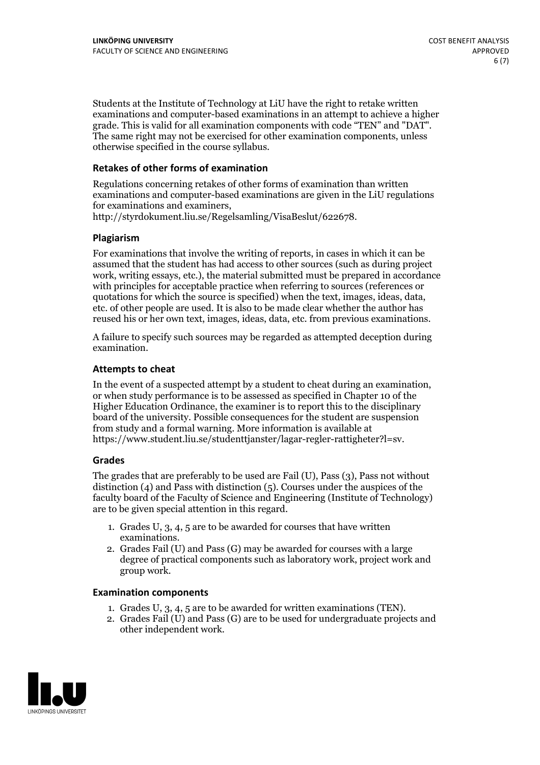Students at the Institute of Technology at LiU have the right to retake written examinations and computer-based examinations in an attempt to achieve a higher grade. This is valid for all examination components with code "TEN" and "DAT". The same right may not be exercised for other examination components, unless otherwise specified in the course syllabus.

#### **Retakes of other forms of examination**

Regulations concerning retakes of other forms of examination than written examinations and computer-based examinations are given in the LiU regulations for examinations and examiners, http://styrdokument.liu.se/Regelsamling/VisaBeslut/622678.

#### **Plagiarism**

For examinations that involve the writing of reports, in cases in which it can be assumed that the student has had access to other sources (such as during project work, writing essays, etc.), the material submitted must be prepared in accordance with principles for acceptable practice when referring to sources (references or quotations for which the source is specified) when the text, images, ideas, data, etc. of other people are used. It is also to be made clear whether the author has reused his or her own text, images, ideas, data, etc. from previous examinations.

A failure to specify such sources may be regarded as attempted deception during examination.

#### **Attempts to cheat**

In the event of <sup>a</sup> suspected attempt by <sup>a</sup> student to cheat during an examination, or when study performance is to be assessed as specified in Chapter <sup>10</sup> of the Higher Education Ordinance, the examiner is to report this to the disciplinary board of the university. Possible consequences for the student are suspension from study and a formal warning. More information is available at https://www.student.liu.se/studenttjanster/lagar-regler-rattigheter?l=sv.

#### **Grades**

The grades that are preferably to be used are Fail (U), Pass (3), Pass not without distinction  $(4)$  and Pass with distinction  $(5)$ . Courses under the auspices of the faculty board of the Faculty of Science and Engineering (Institute of Technology) are to be given special attention in this regard.

- 1. Grades U, 3, 4, 5 are to be awarded for courses that have written
- examinations. 2. Grades Fail (U) and Pass (G) may be awarded for courses with <sup>a</sup> large degree of practical components such as laboratory work, project work and group work.

#### **Examination components**

- 
- 1. Grades U, 3, 4, <sup>5</sup> are to be awarded for written examinations (TEN). 2. Grades Fail (U) and Pass (G) are to be used for undergraduate projects and other independent work.